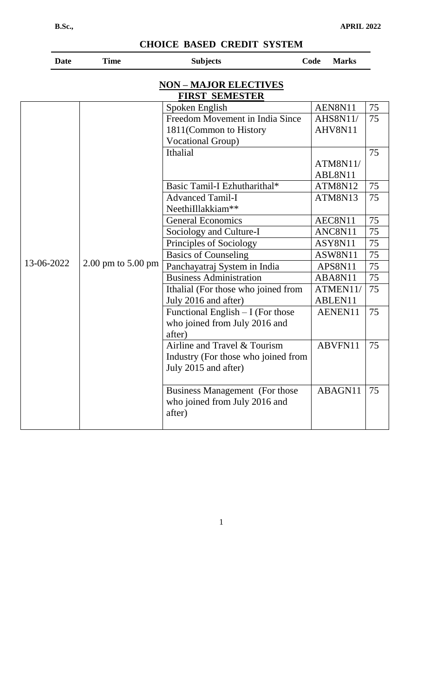| <b>Date</b> | <b>Time</b>        | <b>Subjects</b>                                                        | <b>Marks</b><br>Code |    |
|-------------|--------------------|------------------------------------------------------------------------|----------------------|----|
|             |                    | <b>NON-MAJOR ELECTIVES</b><br><b>FIRST SEMESTER</b>                    |                      |    |
|             |                    | Spoken English                                                         | AEN8N11              | 75 |
|             |                    | Freedom Movement in India Since                                        | <b>AHS8N11/</b>      | 75 |
|             |                    | 1811(Common to History                                                 | AHV8N11              |    |
|             |                    | <b>Vocational Group)</b>                                               |                      |    |
|             |                    | Ithalial                                                               |                      | 75 |
|             |                    |                                                                        | ATM8N11/             |    |
|             |                    |                                                                        | ABL8N11              |    |
|             |                    | Basic Tamil-I Ezhutharithal*                                           | ATM8N12              | 75 |
|             |                    | <b>Advanced Tamil-I</b>                                                | ATM8N13              | 75 |
|             |                    | Neethilllakkiam**                                                      |                      |    |
|             |                    | <b>General Economics</b>                                               | AEC8N11              | 75 |
|             |                    | Sociology and Culture-I                                                | ANC8N11              | 75 |
|             |                    | Principles of Sociology                                                | ASY8N11              | 75 |
|             |                    | <b>Basics of Counseling</b>                                            | ASW8N11              | 75 |
| 13-06-2022  | 2.00 pm to 5.00 pm | Panchayatraj System in India                                           | APS8N11              | 75 |
|             |                    | <b>Business Administration</b>                                         | ABA8N11              | 75 |
|             |                    | Ithalial (For those who joined from                                    | ATMEN11/             | 75 |
|             |                    | July 2016 and after)                                                   | ABLEN11              |    |
|             |                    | Functional English $-I$ (For those                                     | AENEN11              | 75 |
|             |                    | who joined from July 2016 and                                          |                      |    |
|             |                    | after)                                                                 |                      |    |
|             |                    | Airline and Travel & Tourism                                           | ABVFN11              | 75 |
|             |                    | Industry (For those who joined from                                    |                      |    |
|             |                    | July 2015 and after)                                                   |                      |    |
|             |                    | <b>Business Management</b> (For those<br>who joined from July 2016 and | ABAGN11              | 75 |
|             |                    | after)                                                                 |                      |    |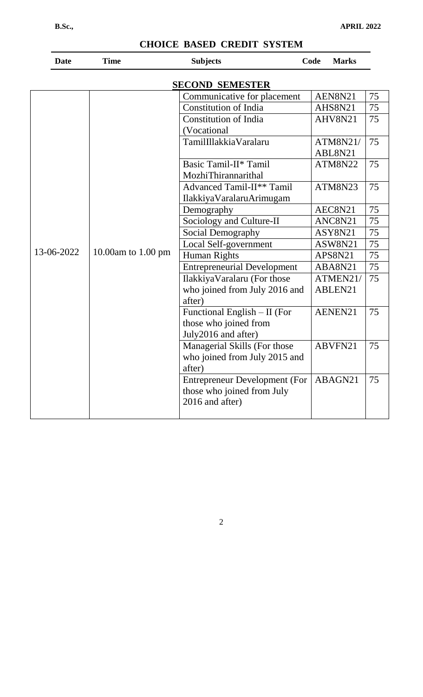| <b>Date</b> | <b>Time</b>           | <b>Subjects</b>                                                                       | Code<br><b>Marks</b> |    |
|-------------|-----------------------|---------------------------------------------------------------------------------------|----------------------|----|
|             |                       | <b>SECOND SEMESTER</b>                                                                |                      |    |
|             |                       | Communicative for placement                                                           | AEN8N21              | 75 |
|             |                       | <b>Constitution of India</b>                                                          | AHS8N21              | 75 |
|             |                       | <b>Constitution of India</b><br>(Vocational                                           | AHV8N21              | 75 |
|             | TamilIllakkiaVaralaru | ATM8N21/<br>ABL8N21                                                                   | 75                   |    |
|             |                       | Basic Tamil-II* Tamil<br>MozhiThirannarithal                                          | <b>ATM8N22</b>       | 75 |
|             |                       | Advanced Tamil-II** Tamil<br>IlakkiyaVaralaruArimugam                                 | <b>ATM8N23</b>       | 75 |
|             |                       | Demography                                                                            | AEC8N21              | 75 |
|             |                       | Sociology and Culture-II                                                              | ANC8N21              | 75 |
|             |                       | Social Demography                                                                     | ASY8N21              | 75 |
|             | 10.00am to 1.00 pm    | Local Self-government                                                                 | ASW8N21              | 75 |
| 13-06-2022  |                       | <b>Human Rights</b>                                                                   | APS8N21              | 75 |
|             |                       | <b>Entrepreneurial Development</b>                                                    | ABA8N21              | 75 |
|             |                       | Ilakkiya Varalaru (For those<br>who joined from July 2016 and<br>after)               | ATMEN21/<br>ABLEN21  | 75 |
|             |                       | Functional English - II (For<br>those who joined from<br>July2016 and after)          | AENEN21              | 75 |
|             |                       | Managerial Skills (For those<br>who joined from July 2015 and<br>after)               | ABVFN21              | 75 |
|             |                       | <b>Entrepreneur Development (For</b><br>those who joined from July<br>2016 and after) | ABAGN21              | 75 |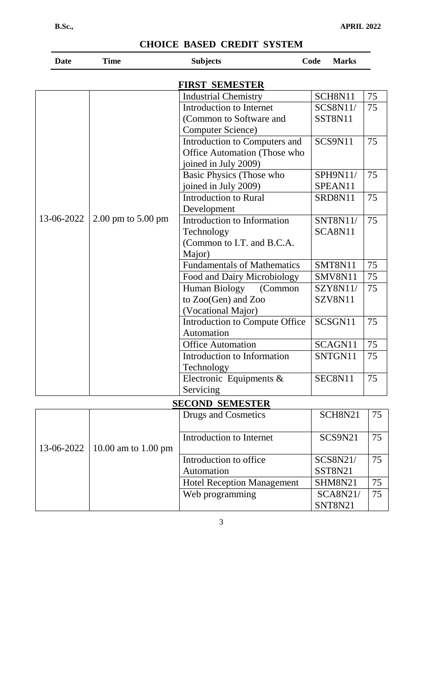| <b>Date</b> | <b>Time</b>                            | <b>Subjects</b>                    | Code<br><b>Marks</b> |    |
|-------------|----------------------------------------|------------------------------------|----------------------|----|
|             |                                        | FIRST SEMESTER                     |                      |    |
|             |                                        | <b>Industrial Chemistry</b>        | SCH8N11              | 75 |
|             |                                        | Introduction to Internet           | <b>SCS8N11/</b>      | 75 |
|             |                                        | (Common to Software and            | SST8N11              |    |
|             |                                        | <b>Computer Science</b> )          |                      |    |
|             |                                        | Introduction to Computers and      | SCS9N11              | 75 |
|             |                                        | Office Automation (Those who       |                      |    |
|             |                                        | joined in July 2009)               |                      |    |
|             |                                        | Basic Physics (Those who           | SPH9N11/             | 75 |
|             |                                        | joined in July 2009)               | SPEAN11              |    |
|             |                                        | <b>Introduction to Rural</b>       | SRD8N11              | 75 |
|             |                                        | Development                        |                      |    |
| 13-06-2022  | $2.00 \text{ pm}$ to $5.00 \text{ pm}$ | Introduction to Information        | SNT8N11/             | 75 |
|             |                                        | Technology                         | SCA8N11              |    |
|             |                                        | (Common to I.T. and B.C.A.         |                      |    |
|             |                                        | Major)                             |                      |    |
|             |                                        | <b>Fundamentals of Mathematics</b> | SMT8N11              | 75 |
|             |                                        | Food and Dairy Microbiology        | SMV8N11              | 75 |
|             |                                        | Human Biology<br>(Common           | <b>SZY8N11/</b>      | 75 |
|             |                                        | to Zoo(Gen) and Zoo                | SZV8N11              |    |
|             |                                        | (Vocational Major)                 |                      |    |
|             |                                        | Introduction to Compute Office     | SCSGN11              | 75 |
|             |                                        | Automation                         |                      |    |
|             |                                        | <b>Office Automation</b>           | SCAGN11              | 75 |
|             |                                        | Introduction to Information        | SNTGN11              | 75 |
|             |                                        | Technology                         |                      |    |
|             |                                        | Electronic Equipments $\&$         | SEC8N11              | 75 |
|             |                                        | Servicing                          |                      |    |
|             |                                        | <b>SECOND SEMESTER</b>             |                      |    |
|             |                                        | Drugs and Cosmetics                | SCH8N21              | 75 |
|             |                                        |                                    |                      |    |
|             |                                        | Introduction to Internet           | SCS9N21              | 75 |
| 13-06-2022  | 10.00 am to 1.00 pm                    |                                    |                      |    |
|             |                                        | Introduction to office             | SCS8N21/             | 75 |
|             |                                        | Automation                         | SST8N21              |    |
|             |                                        | <b>Hotel Reception Management</b>  | SHM8N21              | 75 |
|             |                                        | Web programming                    | <b>SCA8N21/</b>      | 75 |
|             |                                        |                                    | SNT8N21              |    |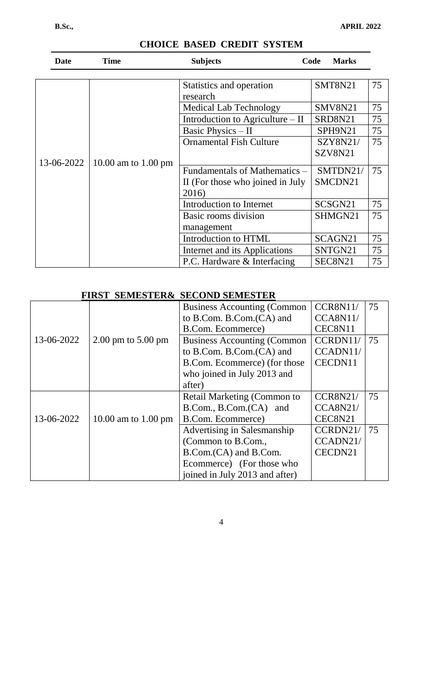| <b>Date</b> | <b>Time</b>                   | <b>Subjects</b>                  | <b>Marks</b><br>Code |    |
|-------------|-------------------------------|----------------------------------|----------------------|----|
|             |                               | Statistics and operation         | SMT8N21              | 75 |
|             |                               | research                         |                      |    |
|             |                               | <b>Medical Lab Technology</b>    | SMV8N21              | 75 |
|             |                               | Introduction to Agriculture – II | SRD8N21              | 75 |
|             |                               | Basic Physics - II               | SPH9N21              | 75 |
|             |                               | <b>Ornamental Fish Culture</b>   | SZY8N21/             | 75 |
|             |                               |                                  | SZV8N21              |    |
| 13-06-2022  | 10.00 am to $1.00 \text{ pm}$ | Fundamentals of Mathematics –    | SMTDN21/             | 75 |
|             |                               | II (For those who joined in July | SMCDN21              |    |
|             |                               | 2016)                            |                      |    |
|             |                               | Introduction to Internet         | SCSGN21              | 75 |
|             |                               | Basic rooms division             | SHMGN21              | 75 |
|             |                               | management                       |                      |    |
|             |                               | Introduction to HTML             | SCAGN <sub>21</sub>  | 75 |
|             |                               | Internet and its Applications    | SNTGN21              | 75 |
|             |                               | P.C. Hardware & Interfacing      | SEC8N21              | 75 |

## **FIRST SEMESTER& SECOND SEMESTER**

|            |                                        | <b>Business Accounting (Common</b> | <b>CCR8N11/</b> | 75 |
|------------|----------------------------------------|------------------------------------|-----------------|----|
|            |                                        | to B.Com. B.Com. (CA) and          | CCA8N11/        |    |
|            |                                        | B.Com. Ecommerce)                  | CEC8N11         |    |
| 13-06-2022 | $2.00 \text{ pm}$ to $5.00 \text{ pm}$ | <b>Business Accounting (Common</b> | CCRDN11/        | 75 |
|            |                                        | to B.Com. B.Com. (CA) and          | CCADN11/        |    |
|            |                                        | B.Com. Ecommerce) (for those       | CECDN11         |    |
|            |                                        | who joined in July 2013 and        |                 |    |
|            |                                        | after)                             |                 |    |
|            |                                        | Retail Marketing (Common to        | <b>CCR8N21/</b> | 75 |
|            |                                        | B.Com., B.Com.(CA) and             | CCA8N21/        |    |
| 13-06-2022 | 10.00 am to 1.00 pm                    | B.Com. Ecommerce)                  | CEC8N21         |    |
|            |                                        | Advertising in Salesmanship        | CCRDN21/        | 75 |
|            |                                        | (Common to B.Com.,                 | CCADN21/        |    |
|            |                                        | B.Com. (CA) and B.Com.             | CECDN21         |    |
|            |                                        | Ecommerce) (For those who          |                 |    |
|            |                                        | joined in July 2013 and after)     |                 |    |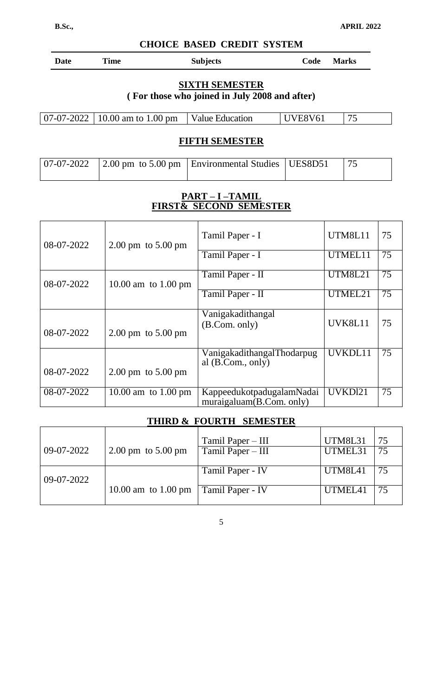| Date | Time | <b>Subjects</b> | Code<br>Marks |
|------|------|-----------------|---------------|
|      |      |                 |               |

### **SIXTH SEMESTER ( For those who joined in July 2008 and after)**

| $\vert$ 07-07-2022 $\vert$ 10.00 am to 1.00 pm | Value Education | UVE8V61 |  |
|------------------------------------------------|-----------------|---------|--|
|------------------------------------------------|-----------------|---------|--|

# **FIFTH SEMESTER**

|  | $\vert 07-07-2022 \vert 2.00 \text{ pm}$ to 5.00 pm $\vert$ Environmental Studies $\vert$ UES8D51 $\vert 75$ |  |
|--|--------------------------------------------------------------------------------------------------------------|--|
|  |                                                                                                              |  |

### **PART – I –TAMIL FIRST& SECOND SEMESTER**

| 08-07-2022 | $2.00 \text{ pm}$ to $5.00 \text{ pm}$ | Tamil Paper - I                                       | UTM8L11        | 75 |
|------------|----------------------------------------|-------------------------------------------------------|----------------|----|
|            |                                        | Tamil Paper - I                                       | UTMEL11        | 75 |
| 08-07-2022 | 10.00 am to $1.00 \text{ pm}$          | Tamil Paper - II                                      | <b>UTM8L21</b> | 75 |
|            |                                        | Tamil Paper - II                                      | UTMEL21        | 75 |
|            |                                        | Vanigakadithangal                                     | UVK8L11        | 75 |
| 08-07-2022 | $2.00 \text{ pm}$ to $5.00 \text{ pm}$ | (B. Com. only)                                        |                |    |
|            |                                        | VanigakadithangalThodarpug<br>al $(B. Com., only)$    | UVKDL11        | 75 |
| 08-07-2022 | $2.00 \text{ pm}$ to $5.00 \text{ pm}$ |                                                       |                |    |
| 08-07-2022 | 10.00 am to $1.00 \text{ pm}$          | KappeedukotpadugalamNadai<br>muraigaluam(B.Com. only) | UVKDl21        | 75 |

### **THIRD & FOURTH SEMESTER**

|            |                               | Tamil Paper – III | <b>UTM8L31</b> | 75  |
|------------|-------------------------------|-------------------|----------------|-----|
| 09-07-2022 | 2.00 pm to $5.00 \text{ pm}$  | Tamil Paper – III | UTMEL31        |     |
| 09-07-2022 |                               | Tamil Paper - IV  | UTM8L41        | -75 |
|            | 10.00 am to $1.00 \text{ pm}$ | Tamil Paper - IV  | UTMEL41        | -75 |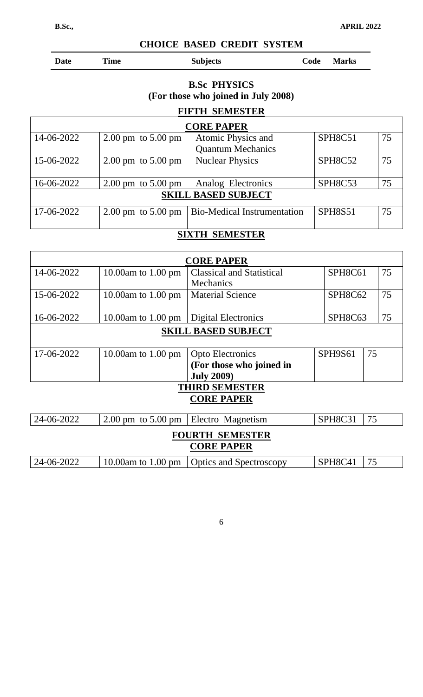| <b>Date</b> | <b>Time</b> | <b>Subjects</b> | Code Marks |
|-------------|-------------|-----------------|------------|
|             |             |                 |            |

## **B.Sc PHYSICS (For those who joined in July 2008)**

# **FIFTH SEMESTER CORE PAPER** 14-06-2022  $\Big| 2.00 \text{ pm} \right| 5.00 \text{ pm}$  Atomic Physics and Quantum Mechanics SPH8C51 | 75 15-06-2022 2.00 pm to 5.00 pm Nuclear Physics SPH8C52 75 16-06-2022 2.00 pm to 5.00 pm Analog Electronics SPH8C53 75 **SKILL BASED SUBJECT** 17-06-2022 2.00 pm to 5.00 pm Bio-Medical Instrumentation SPH8S51 75

# **SIXTH SEMESTER**

|                        |                                        | <b>CORE PAPER</b>                |  |         |    |    |
|------------------------|----------------------------------------|----------------------------------|--|---------|----|----|
| 14-06-2022             | 10.00 $am$ to 1.00 $pm$                | <b>Classical and Statistical</b> |  | SPH8C61 |    | 75 |
|                        |                                        | Mechanics                        |  |         |    |    |
| 15-06-2022             | 10.00am to $1.00 \text{ pm}$           | <b>Material Science</b>          |  | SPH8C62 |    | 75 |
|                        |                                        |                                  |  |         |    |    |
| 16-06-2022             | 10.00 $\text{am}$ to 1.00 $\text{pm}$  | <b>Digital Electronics</b>       |  | SPH8C63 |    | 75 |
|                        |                                        | <b>SKILL BASED SUBJECT</b>       |  |         |    |    |
|                        |                                        |                                  |  |         |    |    |
| 17-06-2022             | 10.00 $\mu$ m to 1.00 $\mu$ m          | <b>Opto Electronics</b>          |  | SPH9S61 | 75 |    |
|                        |                                        | (For those who joined in         |  |         |    |    |
|                        |                                        | <b>July 2009)</b>                |  |         |    |    |
|                        |                                        | <b>THIRD SEMESTER</b>            |  |         |    |    |
|                        |                                        | <b>CORE PAPER</b>                |  |         |    |    |
|                        |                                        |                                  |  |         |    |    |
| 24-06-2022             | $2.00 \text{ pm}$ to $5.00 \text{ pm}$ | Electro Magnetism                |  | SPH8C31 | 75 |    |
| <b>FOURTH SEMESTER</b> |                                        |                                  |  |         |    |    |
|                        |                                        | <b>CORE PAPER</b>                |  |         |    |    |
| 24-06-2022             | 10.00am to $1.00 \text{ pm}$           | <b>Optics and Spectroscopy</b>   |  | SPH8C41 | 75 |    |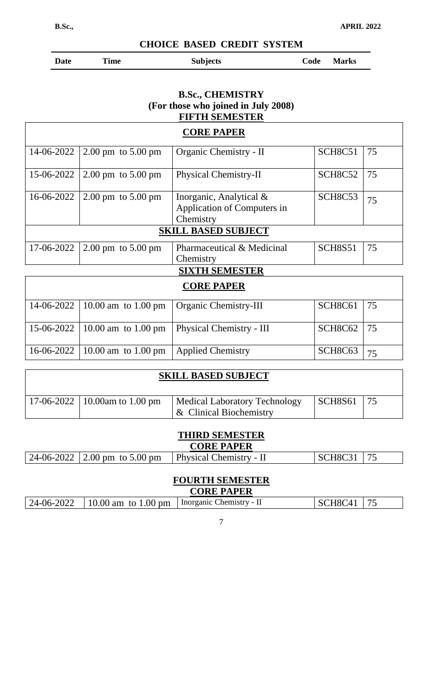$\sqrt{ }$ 

٦

**CHOICE BASED CREDIT SYSTEM**

| ate |  |
|-----|--|
|     |  |

Date Time Subjects Code Marks

### **B.Sc., CHEMISTRY (For those who joined in July 2008) FIFTH SEMESTER**

|            |                                        | <b>CORE PAPER</b>                                                      |                                  |    |
|------------|----------------------------------------|------------------------------------------------------------------------|----------------------------------|----|
| 14-06-2022 | $2.00 \text{ pm}$ to $5.00 \text{ pm}$ | Organic Chemistry - II                                                 | SCH8C51                          | 75 |
| 15-06-2022 | $2.00 \text{ pm}$ to $5.00 \text{ pm}$ | Physical Chemistry-II                                                  | SCH <sub>8</sub> C <sub>52</sub> | 75 |
| 16-06-2022 | $2.00 \text{ pm}$ to $5.00 \text{ pm}$ | Inorganic, Analytical $\&$<br>Application of Computers in<br>Chemistry | SCH <sub>8</sub> C <sub>53</sub> | 75 |
|            |                                        | <b>SKILL BASED SUBJECT</b>                                             |                                  |    |
| 17-06-2022 | $2.00 \text{ pm}$ to $5.00 \text{ pm}$ | Pharmaceutical & Medicinal<br>Chemistry                                | <b>SCH8S51</b>                   | 75 |
|            |                                        | <b>SIXTH SEMESTER</b>                                                  |                                  |    |
|            |                                        | <b>CORE PAPER</b>                                                      |                                  |    |
| 14-06-2022 | 10.00 am to $1.00 \text{ pm}$          | Organic Chemistry-III                                                  | SCH8C61                          | 75 |
| 15-06-2022 | 10.00 am to $1.00 \text{ pm}$          | Physical Chemistry - III                                               | SCH8C62                          | 75 |
| 16-06-2022 | 10.00 am to $1.00 \text{ pm}$          | <b>Applied Chemistry</b>                                               | SCH <sub>8</sub> C <sub>63</sub> | 75 |

| <b>SKILL BASED SUBJECT</b> |                                 |                                                          |              |  |  |  |
|----------------------------|---------------------------------|----------------------------------------------------------|--------------|--|--|--|
|                            | 17-06-2022   10.00am to 1.00 pm | Medical Laboratory Technology<br>& Clinical Biochemistry | SCH8S61   75 |  |  |  |

### **THIRD SEMESTER CORE PAPER**

|  | 24-06-2022   2.00 pm to 5.00 pm | <b>Physical Chemistry - II</b> | $\vert$ SCH8C31 $\vert$ 75 |  |  |  |
|--|---------------------------------|--------------------------------|----------------------------|--|--|--|

### **FOURTH SEMESTER**

| <b>CORE PAPER</b> |                                   |                          |         |  |  |
|-------------------|-----------------------------------|--------------------------|---------|--|--|
|                   | $124-06-2022$ 10.00 am to 1.00 pm | Inorganic Chemistry - II | SCH8C41 |  |  |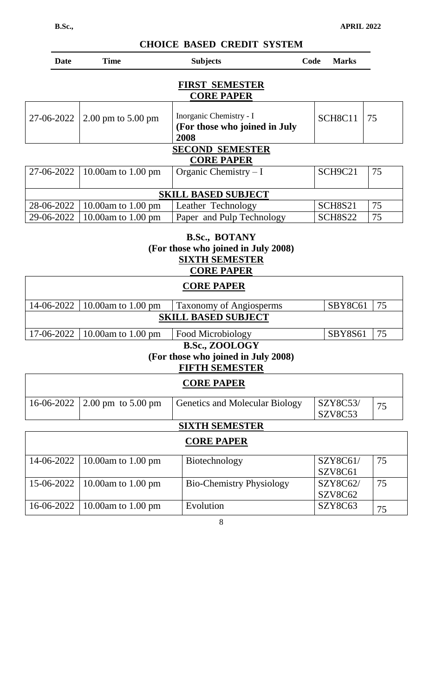| Date                       | <b>Time</b>                            | <b>Subjects</b>                                                  | Code | <b>Marks</b>                     |    |
|----------------------------|----------------------------------------|------------------------------------------------------------------|------|----------------------------------|----|
|                            |                                        | <b>FIRST SEMESTER</b><br><b>CORE PAPER</b>                       |      |                                  |    |
| 27-06-2022                 | $2.00 \text{ pm}$ to $5.00 \text{ pm}$ | Inorganic Chemistry - I<br>(For those who joined in July<br>2008 |      | SCH <sub>8</sub> C <sub>11</sub> | 75 |
|                            |                                        | <b>SECOND SEMESTER</b><br><b>CORE PAPER</b>                      |      |                                  |    |
| 27-06-2022                 | 10.00am to 1.00 pm                     | Organic Chemistry $-I$                                           |      | SCH9C21                          | 75 |
| <b>SKILL BASED SUBJECT</b> |                                        |                                                                  |      |                                  |    |
| 28-06-2022                 | 10.00am to $1.00 \text{ pm}$           | Leather Technology                                               |      | SCH8S21                          | 75 |
| 29-06-2022                 | 10.00am to $1.00 \text{ pm}$           | Paper and Pulp Technology                                        |      | SCH8S22                          | 75 |

### **B.Sc., BOTANY (For those who joined in July 2008) SIXTH SEMESTER CORE PAPER**

|                                                                                   |                      | <b>CONDITA DR</b>                     |                     |    |  |  |
|-----------------------------------------------------------------------------------|----------------------|---------------------------------------|---------------------|----|--|--|
| <b>CORE PAPER</b>                                                                 |                      |                                       |                     |    |  |  |
| 14-06-2022                                                                        | 10.00am to 1.00 pm   | <b>Taxonomy of Angiosperms</b>        | SBY8C61             | 75 |  |  |
|                                                                                   |                      | <b>SKILL BASED SUBJECT</b>            |                     |    |  |  |
| 17-06-2022                                                                        | 10.00am to 1.00 pm   | Food Microbiology                     | <b>SBY8S61</b>      | 75 |  |  |
| (For those who joined in July 2008)<br><b>FIFTH SEMESTER</b><br><b>CORE PAPER</b> |                      |                                       |                     |    |  |  |
| 16-06-2022                                                                        | 2.00 pm to $5.00$ pm | <b>Genetics and Molecular Biology</b> | SZY8C53/<br>SZV8C53 | 75 |  |  |
| <b>SIXTH SEMESTER</b>                                                             |                      |                                       |                     |    |  |  |
| <b>CORE PAPER</b>                                                                 |                      |                                       |                     |    |  |  |

| 14-06-2022   10.00am to 1.00 pm | Biotechnology                   | SZY8C61/<br>SZV8C61 | 75 |
|---------------------------------|---------------------------------|---------------------|----|
| 15-06-2022   10.00am to 1.00 pm | <b>Bio-Chemistry Physiology</b> | SZY8C62/<br>SZV8C62 | 75 |
| 16-06-2022   10.00am to 1.00 pm | Evolution                       | SZY8C63             | 75 |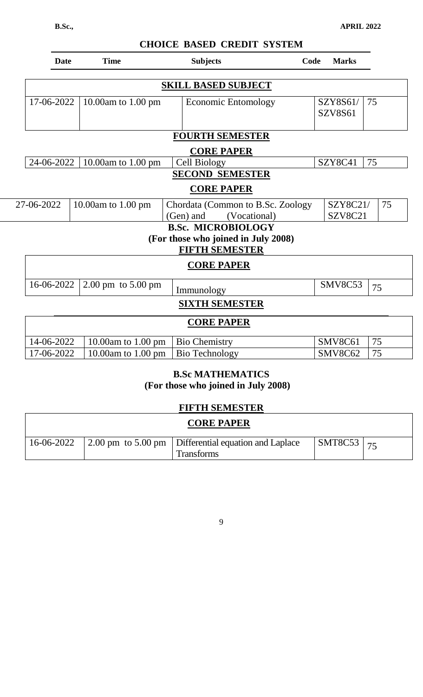|            | <b>Date</b> | <b>Time</b>                            | <b>Subjects</b>                     | Code<br><b>Marks</b>             |
|------------|-------------|----------------------------------------|-------------------------------------|----------------------------------|
|            |             |                                        | <b>SKILL BASED SUBJECT</b>          |                                  |
|            | 17-06-2022  | 10.00am to 1.00 pm                     | Economic Entomology                 | SZY8S61/<br>75<br><b>SZV8S61</b> |
|            |             |                                        | <b>FOURTH SEMESTER</b>              |                                  |
|            |             |                                        | <b>CORE PAPER</b>                   |                                  |
|            | 24-06-2022  | 10.00am to 1.00 pm                     | Cell Biology                        | 75<br>SZY8C41                    |
|            |             |                                        | <b>SECOND SEMESTER</b>              |                                  |
|            |             |                                        | <b>CORE PAPER</b>                   |                                  |
| 27-06-2022 |             | 10.00am to 1.00 pm                     | Chordata (Common to B.Sc. Zoology   | 75<br>SZY8C21/                   |
|            |             |                                        | (Gen) and<br>(Vocational)           | SZV8C21                          |
|            |             |                                        | <b>B.Sc. MICROBIOLOGY</b>           |                                  |
|            |             |                                        | (For those who joined in July 2008) |                                  |
|            |             |                                        | <b>FIFTH SEMESTER</b>               |                                  |
|            |             |                                        | <b>CORE PAPER</b>                   |                                  |
|            | 16-06-2022  | $2.00 \text{ pm}$ to $5.00 \text{ pm}$ | Immunology                          | SMV8C53<br>75                    |
|            |             |                                        | <b>SIXTH SEMESTER</b>               |                                  |
|            |             |                                        | <b>CORE PAPER</b>                   |                                  |
|            | 14-06-2022  | 10.00 $am$ to 1.00 $pm$                | <b>Bio Chemistry</b>                | SMV8C61<br>75                    |
|            | 17-06-2022  | 10.00am to $1.00$ pm                   | <b>Bio Technology</b>               | 75<br>SMV8C62                    |

### **B.Sc MATHEMATICS (For those who joined in July 2008)**

### **FIFTH SEMESTER**

|  | $\vert$ 16-06-2022 $\vert$ 2.00 pm to 5.00 pm $\vert$ Differential equation and Laplace<br><b>Transforms</b> | $ $ SMT8C53 $ $ |  |
|--|--------------------------------------------------------------------------------------------------------------|-----------------|--|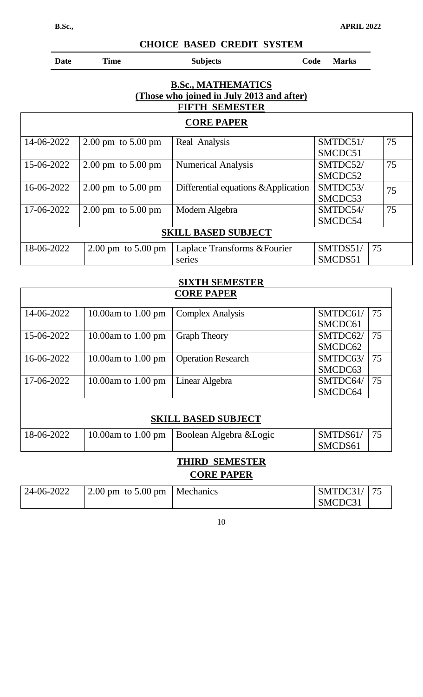Ĭ.

**Date** Time Subjects Code Marks

### **B.Sc., MATHEMATICS (Those who joined in July 2013 and after) FIFTH SEMESTER**

## **CORE PAPER**

| 14-06-2022 | $2.00 \text{ pm}$ to $5.00 \text{ pm}$ | Real Analysis                        | SMTDC51/       | 75 |
|------------|----------------------------------------|--------------------------------------|----------------|----|
|            |                                        |                                      | SMCDC51        |    |
| 15-06-2022 | $2.00 \text{ pm}$ to $5.00 \text{ pm}$ | <b>Numerical Analysis</b>            | SMTDC52/       | 75 |
|            |                                        |                                      | SMCDC52        |    |
| 16-06-2022 | $2.00 \text{ pm}$ to $5.00 \text{ pm}$ | Differential equations & Application | SMTDC53/       | 75 |
|            |                                        |                                      | SMCDC53        |    |
| 17-06-2022 | $2.00 \text{ pm}$ to $5.00 \text{ pm}$ | Modern Algebra                       | SMTDC54/       | 75 |
|            |                                        |                                      | SMCDC54        |    |
|            |                                        | <b>SKILL BASED SUBJECT</b>           |                |    |
| 18-06-2022 | $2.00 \text{ pm}$ to $5.00 \text{ pm}$ | Laplace Transforms & Fourier         | SMTDS51/<br>75 |    |
|            |                                        | series                               | SMCDS51        |    |

| <b>SIXTH SEMESTER</b> |  |
|-----------------------|--|
| <b>CORE PAPER</b>     |  |

|                            |                                       | <b>CORE PAPER</b>         |          |    |  |
|----------------------------|---------------------------------------|---------------------------|----------|----|--|
| 14-06-2022                 | 10.00am to 1.00 pm                    | <b>Complex Analysis</b>   | SMTDC61/ | 75 |  |
|                            |                                       |                           | SMCDC61  |    |  |
| 15-06-2022                 | 10.00am to $1.00$ pm                  | <b>Graph Theory</b>       | SMTDC62/ | 75 |  |
|                            |                                       |                           | SMCDC62  |    |  |
| 16-06-2022                 | 10.00am to $1.00 \text{ pm}$          | <b>Operation Research</b> | SMTDC63/ | 75 |  |
|                            |                                       |                           | SMCDC63  |    |  |
| 17-06-2022                 | 10.00am to 1.00 pm                    | Linear Algebra            | SMTDC64/ | 75 |  |
|                            |                                       |                           | SMCDC64  |    |  |
|                            |                                       |                           |          |    |  |
| <b>SKILL BASED SUBJECT</b> |                                       |                           |          |    |  |
| 18-06-2022                 | 10.00 $\text{am}$ to 1.00 $\text{pm}$ | Boolean Algebra & Logic   | SMTDS61/ | 75 |  |
|                            |                                       |                           | SMCDS61  |    |  |

# **THIRD SEMESTER**

# **CORE PAPER**

| 24-06-2022 | 2.00 pm to 5.00 pm   Mechanics | SMTDC31/ |  |
|------------|--------------------------------|----------|--|
|            |                                | SMCDC31  |  |

 $\overline{1}$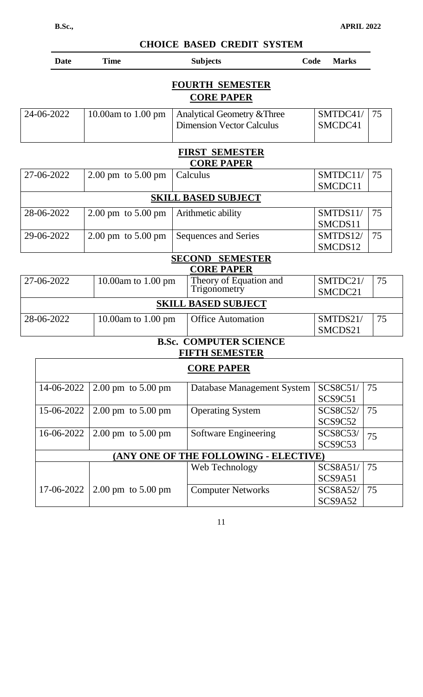SCS9C53

SCS9A51

SCS9A52

75

75

75

| <b>Date</b> | <b>Time</b>                            | <b>Subjects</b>                                                 | Code    | <b>Marks</b>        |    |
|-------------|----------------------------------------|-----------------------------------------------------------------|---------|---------------------|----|
|             |                                        | <b>FOURTH SEMESTER</b>                                          |         |                     |    |
|             |                                        | <b>CORE PAPER</b>                                               |         |                     |    |
| 24-06-2022  | 10.00 $am$ to 1.00 $pm$                | Analytical Geometry & Three<br><b>Dimension Vector Calculus</b> |         | SMTDC41/<br>SMCDC41 | 75 |
|             |                                        | <b>FIRST SEMESTER</b>                                           |         |                     |    |
|             |                                        | <b>CORE PAPER</b>                                               |         |                     |    |
| 27-06-2022  | $2.00 \text{ pm}$ to $5.00 \text{ pm}$ | Calculus                                                        |         | SMTDC11/            | 75 |
|             |                                        |                                                                 |         | SMCDC11             |    |
|             |                                        | <b>SKILL BASED SUBJECT</b>                                      |         |                     |    |
| 28-06-2022  | $2.00 \text{ pm}$ to $5.00 \text{ pm}$ | Arithmetic ability                                              |         | SMTDS11/            | 75 |
|             |                                        |                                                                 |         | SMCDS11             |    |
| 29-06-2022  | $2.00 \text{ pm}$ to $5.00 \text{ pm}$ | <b>Sequences and Series</b>                                     |         | SMTDS12/            | 75 |
|             |                                        |                                                                 |         | SMCDS12             |    |
|             |                                        | <b>SECOND SEMESTER</b>                                          |         |                     |    |
|             |                                        | <b>CORE PAPER</b>                                               |         |                     |    |
| 27-06-2022  | 10.00am to 1.00 pm                     | Theory of Equation and                                          |         | SMTDC21/            | 75 |
|             |                                        | Trigonometry                                                    |         | SMCDC21             |    |
|             |                                        | <b>SKILL BASED SUBJECT</b>                                      |         |                     |    |
| 28-06-2022  | 10.00am to 1.00 pm                     | <b>Office Automation</b>                                        |         | SMTDS21/            | 75 |
|             |                                        |                                                                 |         | SMCDS21             |    |
|             |                                        | <b>B.Sc. COMPUTER SCIENCE</b>                                   |         |                     |    |
|             |                                        | <b>FIFTH SEMESTER</b>                                           |         |                     |    |
|             |                                        | <b>CORE PAPER</b>                                               |         |                     |    |
| 14-06-2022  | $2.00 \text{ pm}$ to $5.00 \text{ pm}$ | Database Management System                                      |         | SCS8C51/            | 75 |
|             |                                        |                                                                 | SCS9C51 |                     |    |
| 15-06-2022  | $2.00 \text{ pm}$ to $5.00 \text{ pm}$ | <b>Operating System</b>                                         |         | <b>SCS8C52/</b>     | 75 |
|             |                                        |                                                                 |         | SCS9C52             |    |

### 11

**(ANY ONE OF THE FOLLOWING - ELECTIVE)**

Web Technology SCS8A51/

Computer Networks SCS8A52/

16-06-2022 2.00 pm to 5.00 pm Software Engineering SCS8C53/

17-06-2022 2.00 pm to 5.00 pm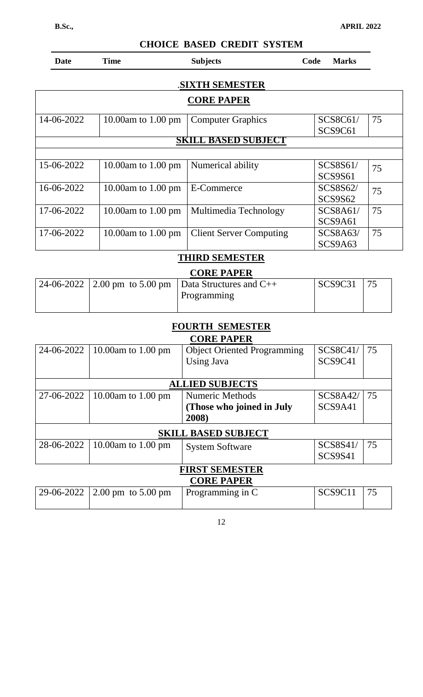| Date       | <b>Time</b>                            | <b>Subjects</b>                        | Code<br><b>Marks</b>       |    |
|------------|----------------------------------------|----------------------------------------|----------------------------|----|
|            |                                        | <b>SIXTH SEMESTER</b>                  |                            |    |
|            |                                        | <b>CORE PAPER</b>                      |                            |    |
| 14-06-2022 | 10.00am to $1.00 \text{ pm}$           | <b>Computer Graphics</b>               | SCS8C61/<br>SCS9C61        | 75 |
|            |                                        | <b>SKILL BASED SUBJECT</b>             |                            |    |
| 15-06-2022 | 10.00am to 1.00 pm                     | Numerical ability                      | SCS8S61/<br><b>SCS9S61</b> | 75 |
| 16-06-2022 | 10.00 $am$ to 1.00 $pm$                | E-Commerce                             | SCS8S62/<br><b>SCS9S62</b> | 75 |
| 17-06-2022 | 10.00am to $1.00 \text{ pm}$           | Multimedia Technology                  | SCS8A61/<br>SCS9A61        | 75 |
| 17-06-2022 | 10.00am to $1.00 \text{ pm}$           | <b>Client Server Computing</b>         | SCS8A63/<br>SCS9A63        | 75 |
|            |                                        | <b>THIRD SEMESTER</b>                  |                            |    |
|            |                                        | <b>CORE PAPER</b>                      |                            |    |
| 24-06-2022 | $2.00 \text{ pm}$ to $5.00 \text{ pm}$ | Data Structures and C++<br>Programming | <b>SCS9C31</b>             | 75 |

# **FOURTH SEMESTER**

|            | <b>CORE PAPER</b>                      |                                    |                 |    |  |
|------------|----------------------------------------|------------------------------------|-----------------|----|--|
| 24-06-2022 | 10.00am to 1.00 pm                     | <b>Object Oriented Programming</b> | SCS8C41/        | 75 |  |
|            |                                        | <b>Using Java</b>                  | SCS9C41         |    |  |
|            |                                        |                                    |                 |    |  |
|            |                                        | <b>ALLIED SUBJECTS</b>             |                 |    |  |
| 27-06-2022 | 10.00am to 1.00 pm                     | Numeric Methods                    | <b>SCS8A42/</b> | 75 |  |
|            |                                        | (Those who joined in July          | SCS9A41         |    |  |
|            |                                        | 2008)                              |                 |    |  |
|            |                                        | <b>SKILL BASED SUBJECT</b>         |                 |    |  |
| 28-06-2022 | 10.00 $\mu$ m to 1.00 $\mu$ m          | <b>System Software</b>             | SCS8S41/        | 75 |  |
|            |                                        |                                    | <b>SCS9S41</b>  |    |  |
|            | <b>FIRST SEMESTER</b>                  |                                    |                 |    |  |
|            |                                        | <b>CORE PAPER</b>                  |                 |    |  |
| 29-06-2022 | $2.00 \text{ pm}$ to $5.00 \text{ pm}$ | Programming in C                   | SCS9C11         | 75 |  |
|            |                                        |                                    |                 |    |  |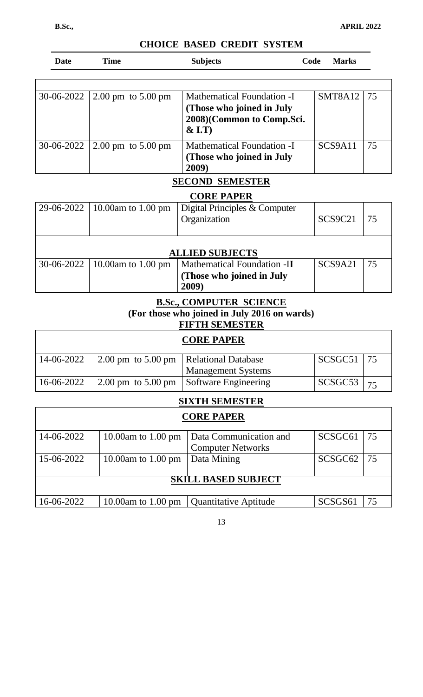| Date         | <b>Time</b>                           | <b>Subjects</b>                                                                                       | Code | <b>Marks</b>                |  |
|--------------|---------------------------------------|-------------------------------------------------------------------------------------------------------|------|-----------------------------|--|
|              |                                       |                                                                                                       |      |                             |  |
| $30-06-2022$ | 2.00 pm to $5.00 \text{ pm}$          | <b>Mathematical Foundation -I</b><br>(Those who joined in July<br>2008)(Common to Comp.Sci.<br>& I.T) |      | SMT8A12<br>$\overline{175}$ |  |
| $30-06-2022$ | $\vert 2.00 \,\mathrm{pm}$ to 5.00 pm | Mathematical Foundation -I<br>(Those who joined in July<br>2009)                                      |      | SCS9A11<br>75               |  |

### **SECOND SEMESTER**

### **CORE PAPER**

| 29-06-2022   10.00am to 1.00 pm | Digital Principles & Computer<br>Organization            | SCS9C21 | 75 |  |  |
|---------------------------------|----------------------------------------------------------|---------|----|--|--|
| <b>ALLIED SUBJECTS</b>          |                                                          |         |    |  |  |
| 30-06-2022   10.00am to 1.00 pm | Mathematical Foundation -II<br>(Those who joined in July | SCS9A21 | 75 |  |  |
|                                 |                                                          | 2009    |    |  |  |

## **B.Sc., COMPUTER SCIENCE (For those who joined in July 2016 on wards)**

# **FIFTH SEMESTER**

# **CORE PAPER**

| 14-06-2022 | 2.00 pm to 5.00 pm   Relational Database |                                                                   | $SCSGC51$   75 |                 |
|------------|------------------------------------------|-------------------------------------------------------------------|----------------|-----------------|
|            |                                          | <b>Management Systems</b>                                         |                |                 |
| 16-06-2022 |                                          | $\frac{1}{2.00}$ pm to 5.00 pm $\frac{1}{2}$ Software Engineering | SCSGC53        | $\overline{75}$ |

### **SIXTH SEMESTER**

| <b>CORE PAPER</b>          |                              |                                            |                     |            |
|----------------------------|------------------------------|--------------------------------------------|---------------------|------------|
| 14-06-2022                 | 10.00am to 1.00 pm           | Data Communication and                     | SCSGC61             | $\vert$ 75 |
|                            |                              | <b>Computer Networks</b>                   |                     |            |
| 15-06-2022                 | 10.00am to $1.00 \text{ pm}$ | Data Mining                                | SCSGC <sub>62</sub> | 75         |
|                            |                              |                                            |                     |            |
| <b>SKILL BASED SUBJECT</b> |                              |                                            |                     |            |
|                            |                              |                                            |                     |            |
| 16-06-2022                 |                              | 10.00am to 1.00 pm   Quantitative Aptitude | SCSGS61             | 75         |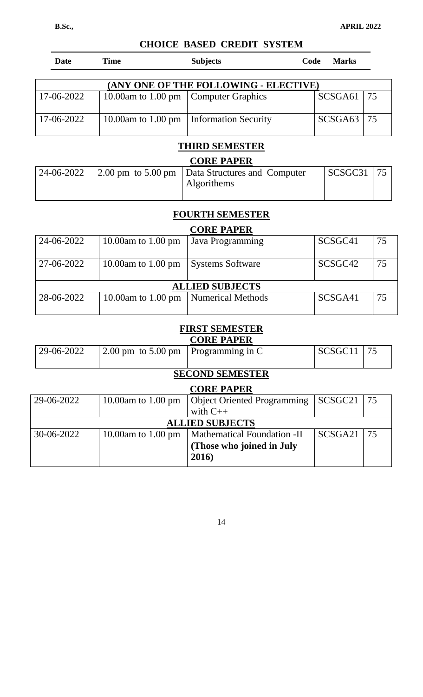| Date       | Time               | <b>Subjects</b>                        | Code<br><b>Marks</b> |  |
|------------|--------------------|----------------------------------------|----------------------|--|
|            |                    |                                        |                      |  |
|            |                    | (ANY ONE OF THE FOLLOWING - ELECTIVE)  |                      |  |
| 17-06-2022 |                    | 10.00am to 1.00 pm   Computer Graphics | $SCSGA61$   75       |  |
|            |                    |                                        |                      |  |
| 17-06-2022 | 10.00am to 1.00 pm | Information Security                   | SCSGA63   75         |  |

# **THIRD SEMESTER**

| <b>CORE PAPER</b> |  |                                                                  |                |  |
|-------------------|--|------------------------------------------------------------------|----------------|--|
| 24-06-2022        |  | 2.00 pm to 5.00 pm   Data Structures and Computer<br>Algorithems | $SCSGC31$   75 |  |

### **FOURTH SEMESTER**

### **CORE PAPER**

| 24-06-2022 | 10.00am to $1.00 \text{ pm}$ | Java Programming        | SCSGC41             | 75 |  |
|------------|------------------------------|-------------------------|---------------------|----|--|
| 27-06-2022 | 10.00am to 1.00 pm           | <b>Systems Software</b> | SCSGC <sub>42</sub> | 75 |  |
|            | <b>ALLIED SUBJECTS</b>       |                         |                     |    |  |
| 28-06-2022 | 10.00am to $1.00 \text{ pm}$ | Numerical Methods       | SCSGA41             | 75 |  |

# **FIRST SEMESTER**

|            |                                        | <b>CORE PAPER</b>                  |                     |    |  |  |
|------------|----------------------------------------|------------------------------------|---------------------|----|--|--|
| 29-06-2022 | $2.00 \text{ pm}$ to $5.00 \text{ pm}$ | Programming in C                   | SCSGC11             | 75 |  |  |
|            |                                        |                                    |                     |    |  |  |
|            | <b>SECOND SEMESTER</b>                 |                                    |                     |    |  |  |
|            |                                        | <b>CORE PAPER</b>                  |                     |    |  |  |
| 29-06-2022 | 10.00 $\text{am}$ to 1.00 $\text{pm}$  | <b>Object Oriented Programming</b> | SCSGC <sub>21</sub> | 75 |  |  |
|            |                                        | with $C++$                         |                     |    |  |  |
|            |                                        | <b>ALLIED SUBJECTS</b>             |                     |    |  |  |
| 30-06-2022 | 10.00am to $1.00 \text{ pm}$           | <b>Mathematical Foundation -II</b> | SCSGA21             | 75 |  |  |
|            |                                        | (Those who joined in July          |                     |    |  |  |
|            |                                        | 2016)                              |                     |    |  |  |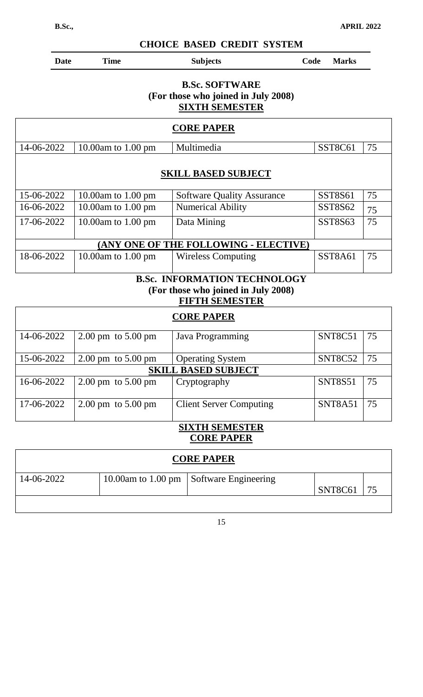| <b>CHOICE BASED CREDIT SYSTEM</b>                                                     |                                        |                         |                                                                                                     |      |                |    |
|---------------------------------------------------------------------------------------|----------------------------------------|-------------------------|-----------------------------------------------------------------------------------------------------|------|----------------|----|
| <b>Date</b>                                                                           | <b>Time</b>                            |                         | <b>Subjects</b>                                                                                     | Code | <b>Marks</b>   |    |
| <b>B.Sc. SOFTWARE</b><br>(For those who joined in July 2008)<br><b>SIXTH SEMESTER</b> |                                        |                         |                                                                                                     |      |                |    |
|                                                                                       |                                        |                         | <b>CORE PAPER</b>                                                                                   |      |                |    |
| 14-06-2022                                                                            | 10.00am to 1.00 pm                     |                         | Multimedia                                                                                          |      | SST8C61        | 75 |
|                                                                                       |                                        |                         | <b>SKILL BASED SUBJECT</b>                                                                          |      |                |    |
| 15-06-2022                                                                            | 10.00am to 1.00 pm                     |                         | <b>Software Quality Assurance</b>                                                                   |      | <b>SST8S61</b> | 75 |
| 16-06-2022                                                                            | 10.00am to 1.00 pm                     |                         | <b>Numerical Ability</b>                                                                            |      | SST8S62        | 75 |
| 17-06-2022                                                                            | 10.00am to 1.00 pm                     |                         | Data Mining                                                                                         |      | SST8S63        | 75 |
|                                                                                       |                                        |                         | (ANY ONE OF THE FOLLOWING - ELECTIVE)                                                               |      |                |    |
| 18-06-2022                                                                            | 10.00am to 1.00 pm                     |                         | <b>Wireless Computing</b>                                                                           |      | SST8A61        | 75 |
|                                                                                       |                                        |                         | <b>B.Sc. INFORMATION TECHNOLOGY</b><br>(For those who joined in July 2008)<br><b>FIFTH SEMESTER</b> |      |                |    |
|                                                                                       |                                        |                         | <b>CORE PAPER</b>                                                                                   |      |                |    |
| 14-06-2022                                                                            | $2.00 \text{ pm}$ to $5.00 \text{ pm}$ |                         | Java Programming                                                                                    |      | SNT8C51        | 75 |
| 15-06-2022                                                                            | 2.00 pm to 5.00 pm                     |                         | <b>Operating System</b>                                                                             |      | SNT8C52        | 75 |
|                                                                                       |                                        |                         | <b>SKILL BASED SUBJECT</b>                                                                          |      |                |    |
| 16-06-2022                                                                            | 2.00 pm to 5.00 pm                     |                         | Cryptography                                                                                        |      | <b>SNT8S51</b> | 75 |
| 17-06-2022                                                                            | $2.00 \text{ pm}$ to $5.00 \text{ pm}$ |                         | <b>Client Server Computing</b>                                                                      |      | SNT8A51        | 75 |
|                                                                                       |                                        |                         | <b>SIXTH SEMESTER</b><br><b>CORE PAPER</b>                                                          |      |                |    |
|                                                                                       |                                        |                         | <b>CORE PAPER</b>                                                                                   |      |                |    |
| 14-06-2022                                                                            |                                        | 10.00 $am$ to 1.00 $pm$ | Software Engineering                                                                                |      | SNT8C61        | 75 |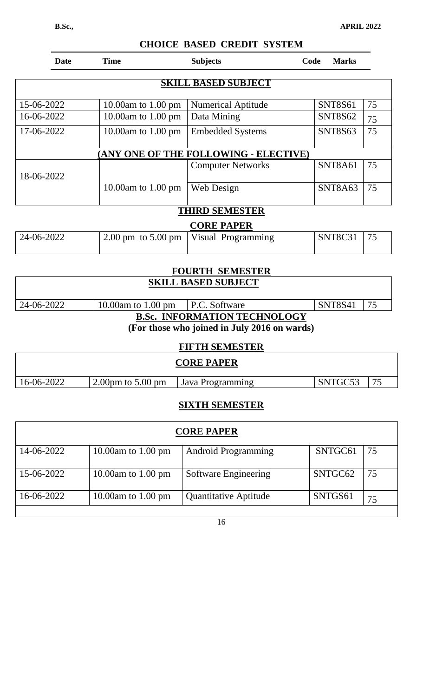| <b>Date</b> | <b>Time</b>                            | <b>Subjects</b>                                      | Code<br><b>Marks</b> |    |
|-------------|----------------------------------------|------------------------------------------------------|----------------------|----|
|             |                                        | SKILL BASED SUBJECT                                  |                      |    |
| 15-06-2022  | 10.00am to $1.00 \text{ pm}$           | <b>Numerical Aptitude</b>                            | <b>SNT8S61</b>       | 75 |
| 16-06-2022  | 10.00am to $1.00 \text{ pm}$           | Data Mining                                          | <b>SNT8S62</b>       | 75 |
| 17-06-2022  | 10.00am to $1.00$ pm                   | <b>Embedded Systems</b>                              | <b>SNT8S63</b>       | 75 |
|             |                                        | <b>(ANY ONE OF THE FOLLOWING - ELECTIVE)</b>         |                      |    |
| 18-06-2022  |                                        | <b>Computer Networks</b>                             | SNT8A61              | 75 |
|             | 10.00am to $1.00 \text{ pm}$           | Web Design                                           | SNT8A63              | 75 |
|             |                                        | <b>THIRD SEMESTER</b>                                |                      |    |
|             |                                        | <b>CORE PAPER</b>                                    |                      |    |
| 24-06-2022  | $2.00 \text{ pm}$ to $5.00 \text{ pm}$ | Visual Programming                                   | SNT8C31              | 75 |
|             |                                        |                                                      |                      |    |
|             |                                        | <b>FOURTH SEMESTER</b><br><b>SKILL BASED SUBJECT</b> |                      |    |

| $ 24-06-2022 $                      | 10.00am to 1.00 pm $\mid$ P.C. Software |                                                   | SNT8S41 |  |  |  |
|-------------------------------------|-----------------------------------------|---------------------------------------------------|---------|--|--|--|
| <b>B.Sc. INFORMATION TECHNOLOGY</b> |                                         |                                                   |         |  |  |  |
|                                     |                                         | (Feu these rules isined in Iuly $2016$ on rue del |         |  |  |  |

**(For those who joined in July 2016 on wards)**

|            |                                      | <b>CORE PAPER</b> |         |  |
|------------|--------------------------------------|-------------------|---------|--|
| 16-06-2022 | $2.00 \text{pm}$ to $5.00 \text{pm}$ | Java Programming  | SNTGC53 |  |

# **SIXTH SEMESTER**

| <b>CORE PAPER</b> |                                       |                            |         |    |
|-------------------|---------------------------------------|----------------------------|---------|----|
| 14-06-2022        | 10.00am to $1.00 \text{ pm}$          | <b>Android Programming</b> | SNTGC61 | 75 |
| 15-06-2022        | 10.00 $\text{am}$ to 1.00 $\text{pm}$ | Software Engineering       | SNTGC62 | 75 |
| 16-06-2022        | 10.00am to $1.00 \text{ pm}$          | Quantitative Aptitude      | SNTGS61 | 75 |

# **CHOICE BASED CREDIT SYSTEM**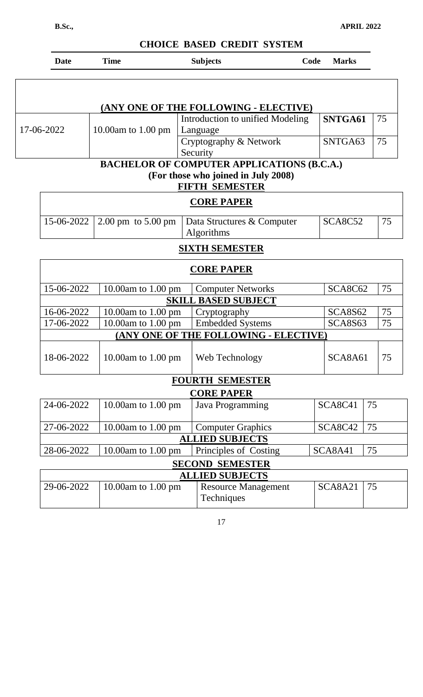### **B.Sc., APRIL 2022**

٦

## **CHOICE BASED CREDIT SYSTEM**

|            | <b>Date</b>                                       | <b>Time</b>                  | <b>Subjects</b>                              | Code | <b>Marks</b> |    |
|------------|---------------------------------------------------|------------------------------|----------------------------------------------|------|--------------|----|
|            |                                                   |                              | (ANY ONE OF THE FOLLOWING - ELECTIVE)        |      |              |    |
| 17-06-2022 |                                                   | 10.00am to $1.00 \text{ pm}$ | Introduction to unified Modeling<br>Language |      | SNTGA61      | 75 |
|            |                                                   |                              | Cryptography & Network<br>Security           |      | SNTGA63      | 75 |
|            | <b>BACHELOR OF COMPUTER APPLICATIONS (B.C.A.)</b> |                              |                                              |      |              |    |

**(For those who joined in July 2008)**

### **FIFTH SEMESTER**

| <b>CORE PAPER</b> |  |                                                              |         |  |
|-------------------|--|--------------------------------------------------------------|---------|--|
|                   |  | 15-06-2022   2.00 pm to 5.00 pm   Data Structures & Computer | SCA8C52 |  |
|                   |  | <b>Algorithms</b>                                            |         |  |

## **SIXTH SEMESTER**

| <b>CORE PAPER</b>          |                                       |                                          |         |    |    |  |
|----------------------------|---------------------------------------|------------------------------------------|---------|----|----|--|
| 15-06-2022                 | 10.00am to 1.00 pm                    | <b>Computer Networks</b>                 | SCA8C62 |    | 75 |  |
| <b>SKILL BASED SUBJECT</b> |                                       |                                          |         |    |    |  |
| 16-06-2022                 | 10.00am to 1.00 pm                    | Cryptography                             | SCA8S62 |    | 75 |  |
| 17-06-2022                 | 10.00am to $1.00 \text{ pm}$          | <b>Embedded Systems</b>                  | SCA8S63 |    | 75 |  |
|                            |                                       | (ANY ONE OF THE FOLLOWING - ELECTIVE)    |         |    |    |  |
| 18-06-2022                 | 10.00am to 1.00 pm                    | Web Technology                           | SCA8A61 |    | 75 |  |
|                            |                                       | <b>FOURTH SEMESTER</b>                   |         |    |    |  |
|                            |                                       | <b>CORE PAPER</b>                        |         |    |    |  |
| 24-06-2022                 | 10.00 $am$ to 1.00 $pm$               | Java Programming                         | SCA8C41 | 75 |    |  |
| 27-06-2022                 | 10.00am to $1.00 \text{ pm}$          | <b>Computer Graphics</b>                 | SCA8C42 | 75 |    |  |
|                            |                                       | <b>ALLIED SUBJECTS</b>                   |         |    |    |  |
| 28-06-2022                 | 10.00am to 1.00 pm                    | Principles of Costing                    | SCA8A41 | 75 |    |  |
| <b>SECOND SEMESTER</b>     |                                       |                                          |         |    |    |  |
|                            |                                       | <b>ALLIED SUBJECTS</b>                   |         |    |    |  |
| 29-06-2022                 | 10.00 $\text{am}$ to 1.00 $\text{pm}$ | <b>Resource Management</b><br>Techniques | SCA8A21 | 75 |    |  |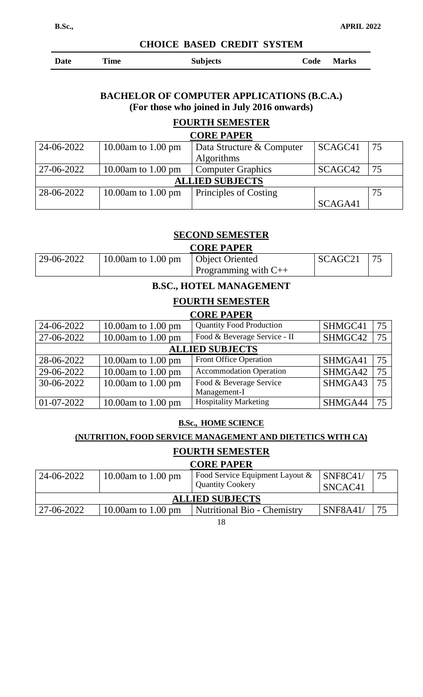| <b>Date</b> | Time | <b>Subjects</b> | Code Marks |
|-------------|------|-----------------|------------|
|-------------|------|-----------------|------------|

### **BACHELOR OF COMPUTER APPLICATIONS (B.C.A.) (For those who joined in July 2016 onwards)**

### **FOURTH SEMESTER**

| <b>CORE PAPER</b>      |                    |                           |         |    |  |
|------------------------|--------------------|---------------------------|---------|----|--|
| 24-06-2022             | 10.00am to 1.00 pm | Data Structure & Computer | SCAGC41 | 75 |  |
|                        |                    | <b>Algorithms</b>         |         |    |  |
| 27-06-2022             | 10.00am to 1.00 pm | <b>Computer Graphics</b>  | SCAGC42 | 75 |  |
| <b>ALLIED SUBJECTS</b> |                    |                           |         |    |  |
| 28-06-2022             | 10.00am to 1.00 pm | Principles of Costing     |         | 75 |  |
|                        |                    |                           | SCAGA41 |    |  |

### **SECOND SEMESTER**

|              |                                                     | <b>CORE PAPER</b>         |                     |  |
|--------------|-----------------------------------------------------|---------------------------|---------------------|--|
| $29-06-2022$ | $\vert 10.00$ am to 1.00 pm $\vert$ Object Oriented |                           | SCAGC <sub>21</sub> |  |
|              |                                                     | Programming with $C_{++}$ |                     |  |

### **B.SC., HOTEL MANAGEMENT**

### **FOURTH SEMESTER CORE PAPER**

|            |                               | UUNE LALEN                      |         |    |
|------------|-------------------------------|---------------------------------|---------|----|
| 24-06-2022 | 10.00 $\mu$ m to 1.00 $\mu$ m | <b>Quantity Food Production</b> | SHMGC41 | 75 |
| 27-06-2022 | 10.00 $\mu$ m to 1.00 $\mu$ m | Food & Beverage Service - II    | SHMGC42 | 75 |
|            |                               | <b>ALLIED SUBJECTS</b>          |         |    |
| 28-06-2022 | 10.00am to 1.00 pm            | <b>Front Office Operation</b>   | SHMGA41 | 75 |
| 29-06-2022 | 10.00 $\mu$ m to 1.00 $\mu$ m | <b>Accommodation Operation</b>  | SHMGA42 | 75 |
| 30-06-2022 | 10.00 $\mu$ m to 1.00 $\mu$ m | Food & Beverage Service         | SHMGA43 | 75 |
|            |                               | Management-I                    |         |    |
| 01-07-2022 | 10.00 $am$ to 1.00 $pm$       | <b>Hospitality Marketing</b>    | SHMGA44 | 75 |

### **B.Sc., HOME SCIENCE**

### **(NUTRITION, FOOD SERVICE MANAGEMENT AND DIETETICS WITH CA)**

### **FOURTH SEMESTER**

### **CORE PAPER**

| 24-06-2022             | 10.00am to 1.00 pm | Food Service Equipment Layout &<br><b>Quantity Cookery</b> | $ $ SNF8C41/<br>SNCAC <sub>41</sub> |  |  |
|------------------------|--------------------|------------------------------------------------------------|-------------------------------------|--|--|
| <b>ALLIED SUBJECTS</b> |                    |                                                            |                                     |  |  |
| $127 - 06 - 2022$      | 10.00am to 1.00 pm | <b>Nutritional Bio - Chemistry</b>                         | <b>SNF8A41/</b>                     |  |  |
|                        |                    |                                                            |                                     |  |  |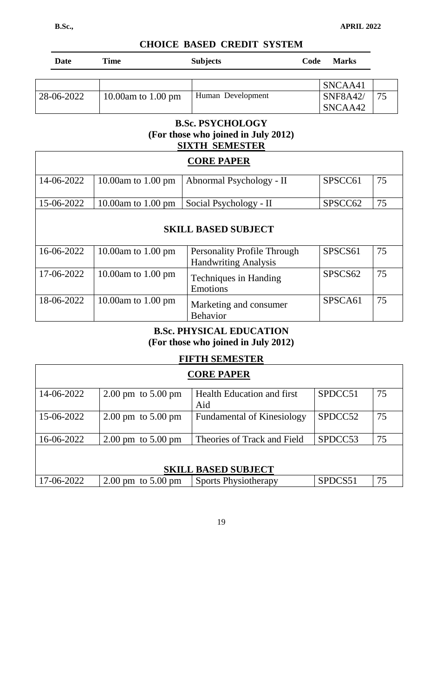| <b>Date</b> | Time               | <b>Subjects</b>   | <b>Marks</b><br>Code |  |
|-------------|--------------------|-------------------|----------------------|--|
|             |                    |                   |                      |  |
|             |                    |                   | SNCAA41              |  |
| 28-06-2022  | 10.00am to 1.00 pm | Human Development | <b>SNF8A42/</b>      |  |
|             |                    |                   | SNCAA42              |  |

### **B.Sc. PSYCHOLOGY (For those who joined in July 2012) SIXTH SEMESTER**

|                            |                              | <b>CORE PAPER</b>                                                 |                     |    |  |
|----------------------------|------------------------------|-------------------------------------------------------------------|---------------------|----|--|
| 14-06-2022                 | 10.00am to $1.00 \text{ pm}$ | Abnormal Psychology - II                                          | SPSCC61             | 75 |  |
| 15-06-2022                 | 10.00am to $1.00 \text{ pm}$ | Social Psychology - II                                            | SPSCC <sub>62</sub> | 75 |  |
| <b>SKILL BASED SUBJECT</b> |                              |                                                                   |                     |    |  |
| 16-06-2022                 | 10.00am to $1.00 \text{ pm}$ | <b>Personality Profile Through</b><br><b>Handwriting Analysis</b> | SPSCS <sub>61</sub> | 75 |  |
| 17-06-2022                 | 10.00am to $1.00 \text{ pm}$ | <b>Techniques in Handing</b><br><b>Emotions</b>                   | SPSCS62             | 75 |  |
| 18-06-2022                 | 10.00am to $1.00 \text{ pm}$ | Marketing and consumer<br><b>Behavior</b>                         | SPSCA61             | 75 |  |

### **B.Sc. PHYSICAL EDUCATION (For those who joined in July 2012)**

### **FIFTH SEMESTER**

| <b>CORE PAPER</b>          |                                        |                                   |         |    |  |
|----------------------------|----------------------------------------|-----------------------------------|---------|----|--|
| 14-06-2022                 | $2.00 \text{ pm}$ to $5.00 \text{ pm}$ | <b>Health Education and first</b> | SPDCC51 | 75 |  |
|                            |                                        | Aid                               |         |    |  |
| 15-06-2022                 | $2.00 \text{ pm}$ to $5.00 \text{ pm}$ | <b>Fundamental of Kinesiology</b> | SPDCC52 | 75 |  |
|                            |                                        |                                   |         |    |  |
| 16-06-2022                 | $2.00 \text{ pm}$ to $5.00 \text{ pm}$ | Theories of Track and Field       | SPDCC53 | 75 |  |
|                            |                                        |                                   |         |    |  |
| <b>SKILL BASED SUBJECT</b> |                                        |                                   |         |    |  |
| 17-06-2022                 | $2.00 \text{ pm}$ to $5.00 \text{ pm}$ | <b>Sports Physiotherapy</b>       | SPDCS51 | 75 |  |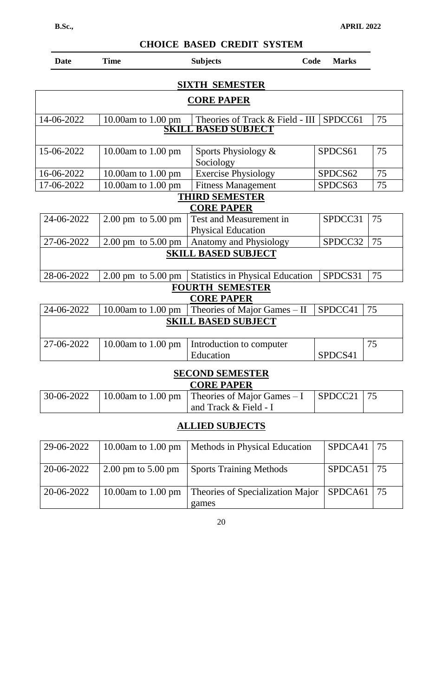| <b>Date</b>                                 | <b>Time</b>                            | <b>Subjects</b><br>Code                              | <b>Marks</b> |    |  |  |  |
|---------------------------------------------|----------------------------------------|------------------------------------------------------|--------------|----|--|--|--|
|                                             | <b>SIXTH SEMESTER</b>                  |                                                      |              |    |  |  |  |
|                                             | <b>CORE PAPER</b>                      |                                                      |              |    |  |  |  |
| 14-06-2022                                  | 10.00am to 1.00 pm                     | Theories of Track & Field - III                      | SPDCC61      | 75 |  |  |  |
|                                             | <b>BASED SUBJECT</b><br>SKILI          |                                                      |              |    |  |  |  |
| 15-06-2022                                  | 10.00am to 1.00 pm                     | Sports Physiology &<br>Sociology                     | SPDCS61      | 75 |  |  |  |
| 16-06-2022                                  | 10.00am to 1.00 pm                     | <b>Exercise Physiology</b>                           | SPDCS62      | 75 |  |  |  |
| 17-06-2022                                  | 10.00am to 1.00 pm                     | <b>Fitness Management</b>                            | SPDCS63      | 75 |  |  |  |
| <b>THIRD SEMESTER</b><br><b>CORE PAPER</b>  |                                        |                                                      |              |    |  |  |  |
| 24-06-2022                                  | 2.00 pm to 5.00 pm                     | Test and Measurement in<br><b>Physical Education</b> | SPDCC31      | 75 |  |  |  |
| 27-06-2022                                  | $2.00 \text{ pm}$ to $5.00 \text{ pm}$ | Anatomy and Physiology                               | SPDCC32      | 75 |  |  |  |
|                                             | <b>SKILL BASED SUBJECT</b>             |                                                      |              |    |  |  |  |
| 28-06-2022                                  | $2.00 \text{ pm}$ to $5.00 \text{ pm}$ | <b>Statistics in Physical Education</b>              | SPDCS31      | 75 |  |  |  |
| <b>FOURTH SEMESTER</b><br><b>CORE PAPER</b> |                                        |                                                      |              |    |  |  |  |
| 24-06-2022                                  | 10.00am to $1.00$ pm                   | Theories of Major Games - II                         | SPDCC41      | 75 |  |  |  |
| <b>SKILL BASED SUBJECT</b>                  |                                        |                                                      |              |    |  |  |  |
| 27-06-2022                                  | 10.00am to 1.00 pm                     | Introduction to computer<br>Education                | SPDCS41      | 75 |  |  |  |
|                                             |                                        | <b>SECOND SEMESTER</b><br><b>CORE PAPER</b>          |              |    |  |  |  |

|  | $\vert$ 30-06-2022 $\vert$ 10.00am to 1.00 pm $\vert$ Theories of Major Games – I | $\vert$ SPDCC21   75 |  |
|--|-----------------------------------------------------------------------------------|----------------------|--|
|  | and Track & Field - I                                                             |                      |  |

## **ALLIED SUBJECTS**

| 29-06-2022 |                              | 10.00am to 1.00 pm   Methods in Physical Education                       | SPDCA41        | $\overline{75}$  |
|------------|------------------------------|--------------------------------------------------------------------------|----------------|------------------|
| 20-06-2022 | $\approx 2.00$ pm to 5.00 pm | <b>Sports Training Methods</b>                                           | $SPDCA51$   75 |                  |
| 20-06-2022 |                              | 10.00am to 1.00 pm   Theories of Specialization Major   SPDCA61<br>games |                | $\overline{175}$ |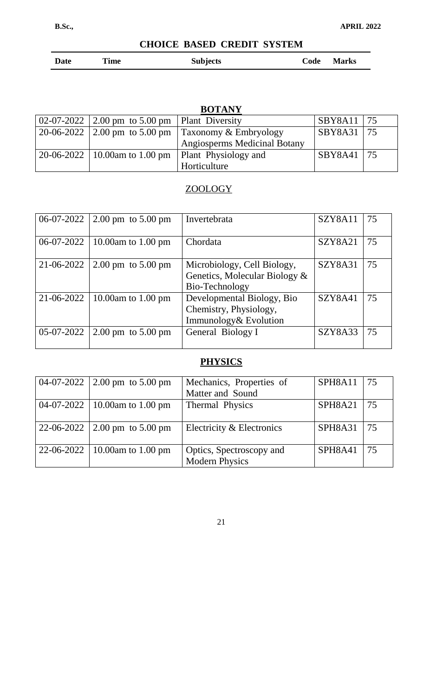|  | Date | Time | <b>Subjects</b> | Code<br><b>Marks</b> |
|--|------|------|-----------------|----------------------|
|--|------|------|-----------------|----------------------|

# **BOTANY**

| 02-07-2022 2.00 pm to 5.00 pm   Plant Diversity |                                                          | SBY8A11 | 75 |
|-------------------------------------------------|----------------------------------------------------------|---------|----|
|                                                 | 20-06-2022 2.00 pm to 5.00 pm Taxonomy & Embryology      | SBY8A31 | 75 |
|                                                 | <b>Angiosperms Medicinal Botany</b>                      |         |    |
|                                                 | $20-06-2022$   10.00am to 1.00 pm   Plant Physiology and | SBY8A41 | 75 |
|                                                 | Horticulture                                             |         |    |

# ZOOLOGY

|              | 06-07-2022   2.00 pm to 5.00 pm | Invertebrata                                                                   | SZY8A11 | 75 |
|--------------|---------------------------------|--------------------------------------------------------------------------------|---------|----|
|              | 06-07-2022   10.00am to 1.00 pm | Chordata                                                                       | SZY8A21 | 75 |
|              | 21-06-2022   2.00 pm to 5.00 pm | Microbiology, Cell Biology,<br>Genetics, Molecular Biology &<br>Bio-Technology | SZY8A31 | 75 |
| $21-06-2022$ | 10.00am to 1.00 pm              | Developmental Biology, Bio<br>Chemistry, Physiology,<br>Immunology& Evolution  | SZY8A41 | 75 |
| $05-07-2022$ | 2.00 pm to $5.00 \text{ pm}$    | General Biology I                                                              | SZY8A33 | 75 |

# **PHYSICS**

| 04-07-2022 2.00 pm to 5.00 pm   | Mechanics, Properties of<br>Matter and Sound      | SPH8A11   75 |    |
|---------------------------------|---------------------------------------------------|--------------|----|
| 04-07-2022   10.00am to 1.00 pm | Thermal Physics                                   | SPH8A21      | 75 |
| 22-06-2022 2.00 pm to 5.00 pm   | Electricity & Electronics                         | SPH8A31      | 75 |
| 22-06-2022   10.00am to 1.00 pm | Optics, Spectroscopy and<br><b>Modern Physics</b> | SPH8A41      | 75 |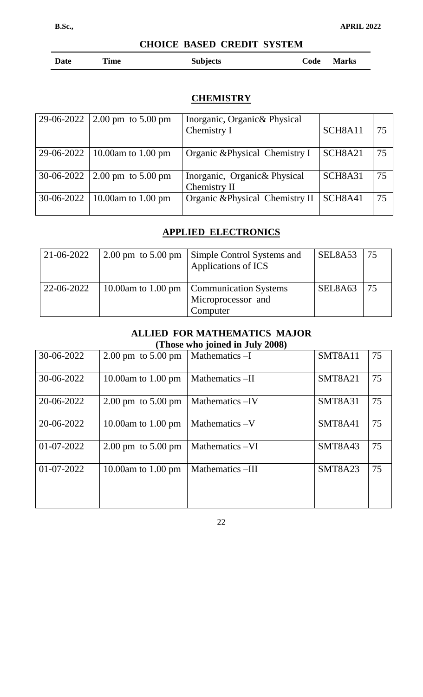| <b>Time</b><br><b>Date</b> | <b>Subjects</b> | Code | <b>Marks</b> |
|----------------------------|-----------------|------|--------------|
|----------------------------|-----------------|------|--------------|

### **CHEMISTRY**

| 29-06-2022   2.00 pm to 5.00 pm | Inorganic, Organic& Physical<br>Chemistry I  | SCH8A11 | 75 |
|---------------------------------|----------------------------------------------|---------|----|
| 29-06-2022   10.00am to 1.00 pm | Organic & Physical Chemistry I               | SCH8A21 | 75 |
| $30-06-2022$ 2.00 pm to 5.00 pm | Inorganic, Organic& Physical<br>Chemistry II | SCH8A31 | 75 |
| 30-06-2022   10.00am to 1.00 pm | Organic & Physical Chemistry II              | SCH8A41 | 75 |

# **APPLIED ELECTRONICS**

| 21-06-2022 | $\vert 2.00 \,\mathrm{pm} \,$ to 5.00 pm | <b>Simple Control Systems and</b><br>Applications of ICS                     | SEL8A53   75 |     |
|------------|------------------------------------------|------------------------------------------------------------------------------|--------------|-----|
| 22-06-2022 |                                          | 10.00am to 1.00 pm   Communication Systems<br>Microprocessor and<br>Computer | SEL8A63      | 175 |

### **ALLIED FOR MATHEMATICS MAJOR (Those who joined in July 2008)**

| 30-06-2022 | $2.00 \text{ pm}$ to $5.00 \text{ pm}$ | Mathematics -I  | SMT8A11 | 75 |
|------------|----------------------------------------|-----------------|---------|----|
| 30-06-2022 | 10.00am to $1.00 \text{ pm}$           | Mathematics-II  | SMT8A21 | 75 |
| 20-06-2022 | $2.00 \text{ pm}$ to $5.00 \text{ pm}$ | Mathematics-IV  | SMT8A31 | 75 |
| 20-06-2022 | 10.00am to 1.00 pm                     | Mathematics -V  | SMT8A41 | 75 |
| 01-07-2022 | $2.00 \text{ pm}$ to $5.00 \text{ pm}$ | Mathematics -VI | SMT8A43 | 75 |
| 01-07-2022 | 10.00am to 1.00 pm                     | Mathematics-III | SMT8A23 | 75 |
|            |                                        |                 |         |    |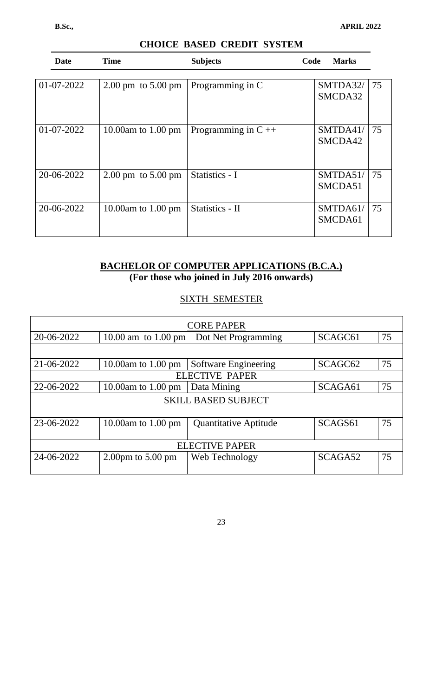| <b>Date</b>  | <b>Time</b>                            | <b>Subjects</b>         | Code | <b>Marks</b>        |    |
|--------------|----------------------------------------|-------------------------|------|---------------------|----|
|              |                                        |                         |      |                     |    |
| 01-07-2022   | $2.00 \text{ pm}$ to $5.00 \text{ pm}$ | Programming in C        |      | SMTDA32/<br>SMCDA32 | 75 |
| $01-07-2022$ | 10.00am to 1.00 pm                     | Programming in $C_{++}$ |      | SMTDA41/<br>SMCDA42 | 75 |
| 20-06-2022   | $2.00 \text{ pm}$ to $5.00 \text{ pm}$ | Statistics - I          |      | SMTDA51/<br>SMCDA51 | 75 |
| 20-06-2022   | 10.00am to 1.00 pm                     | Statistics - II         |      | SMTDA61/<br>SMCDA61 | 75 |

### **BACHELOR OF COMPUTER APPLICATIONS (B.C.A.) (For those who joined in July 2016 onwards)**

# SIXTH SEMESTER

| CORE PAPER            |                                                                   |                              |                     |    |
|-----------------------|-------------------------------------------------------------------|------------------------------|---------------------|----|
| 20-06-2022            | SCAGC <sub>61</sub><br>10.00 am to 1.00 pm<br>Dot Net Programming |                              |                     |    |
|                       |                                                                   |                              |                     |    |
| 21-06-2022            | 10.00am to $1.00 \text{ pm}$                                      | Software Engineering         | SCAGC <sub>62</sub> | 75 |
|                       |                                                                   | <b>ELECTIVE PAPER</b>        |                     |    |
| 22-06-2022            | 10.00am to 1.00 pm                                                | Data Mining                  | SCAGA61             | 75 |
|                       |                                                                   | <b>SKILL BASED SUBJECT</b>   |                     |    |
|                       |                                                                   |                              |                     |    |
| 23-06-2022            | 10.00am to $1.00 \text{ pm}$                                      | <b>Quantitative Aptitude</b> | SCAGS61             | 75 |
|                       |                                                                   |                              |                     |    |
| <b>ELECTIVE PAPER</b> |                                                                   |                              |                     |    |
| 24-06-2022            | $2.00 \text{pm}$ to $5.00 \text{pm}$                              | Web Technology               | SCAGA52             | 75 |
|                       |                                                                   |                              |                     |    |